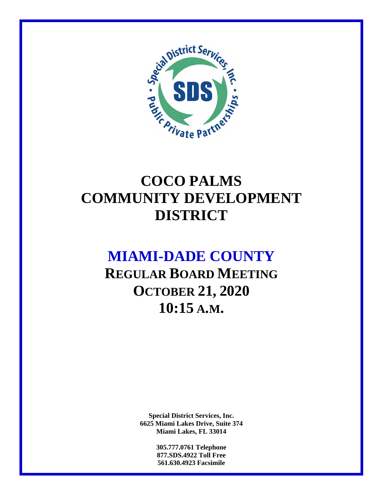

## **COCO PALMS COMMUNITY DEVELOPMENT DISTRICT**

## **MIAMI-DADE COUNTY**

**REGULAR BOARD MEETING OCTOBER 21, 2020 10:15 A.M.** 

> **Special District Services, Inc. 6625 Miami Lakes Drive, Suite 374 Miami Lakes, FL 33014**

> > **305.777.0761 Telephone 877.SDS.4922 Toll Free 561.630.4923 Facsimile**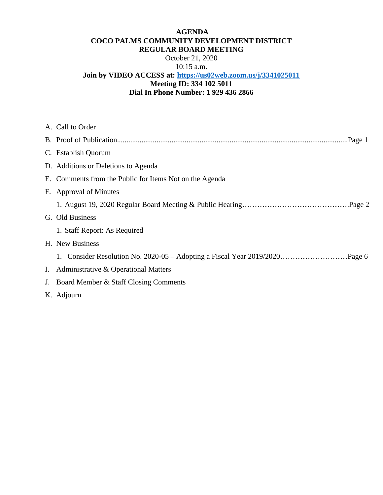#### **AGENDA COCO PALMS COMMUNITY DEVELOPMENT DISTRICT REGULAR BOARD MEETING**

October 21, 2020 10:15 a.m.

### **Join by VIDEO ACCESS at: https://us02web.zoom.us/j/3341025011 Meeting ID: 334 102 5011 Dial In Phone Number: 1 929 436 2866**

| A. Call to Order                                        |
|---------------------------------------------------------|
|                                                         |
| C. Establish Quorum                                     |
| D. Additions or Deletions to Agenda                     |
| E. Comments from the Public for Items Not on the Agenda |
| F. Approval of Minutes                                  |
|                                                         |
| G. Old Business                                         |
| 1. Staff Report: As Required                            |
| H. New Business                                         |
|                                                         |
| I. Administrative & Operational Matters                 |
| J. Board Member & Staff Closing Comments                |
| K. Adjourn                                              |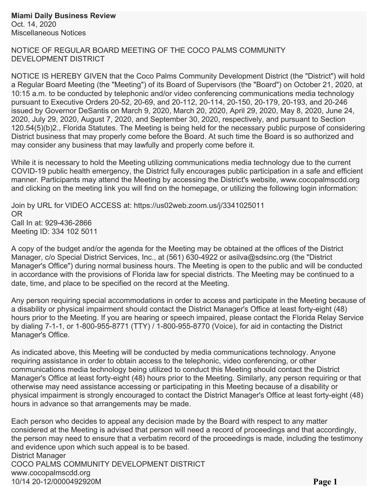NOTICE OF REGULAR BOARD MEETING OF THE COCO PALMS COMMUNITY DEVELOPMENT DISTRICT

NOTICE IS HEREBY GIVEN that the Coco Palms Community Development District (the "District") will hold a Regular Board Meeting (the "Meeting") of its Board of Supervisors (the "Board") on October 21, 2020, at 10:15 a.m. to be conducted by telephonic and/or video conferencing communications media technology pursuant to Executive Orders 20-52, 20-69, and 20-112, 20-114, 20-150, 20-179, 20-193, and 20-246 issued by Governor DeSantis on March 9, 2020, March 20, 2020, April 29, 2020, May 8, 2020, June 24, 2020, July 29, 2020, August 7, 2020, and September 30, 2020, respectively, and pursuant to Section 120.54(5)(b)2., Florida Statutes. The Meeting is being held for the necessary public purpose of considering District business that may properly come before the Board. At such time the Board is so authorized and may consider any business that may lawfully and properly come before it.

While it is necessary to hold the Meeting utilizing communications media technology due to the current COVID-19 public health emergency, the District fully encourages public participation in a safe and efficient manner. Participants may attend the Meeting by accessing the District's website, www.cocopalmscdd.org and clicking on the meeting link you will find on the homepage, or utilizing the following login information:

Join by URL for VIDEO ACCESS at: https://us02web.zoom.us/j/3341025011 OR Call In at: 929-436-2866 Meeting ID: 334 102 5011

A copy of the budget and/or the agenda for the Meeting may be obtained at the offices of the District Manager, c/o Special District Services, Inc., at (561) 630-4922 or asilva@sdsinc.org (the "District Manager's Office") during normal business hours. The Meeting is open to the public and will be conducted in accordance with the provisions of Florida law for special districts. The Meeting may be continued to a date, time, and place to be specified on the record at the Meeting.

Any person requiring special accommodations in order to access and participate in the Meeting because of a disability or physical impairment should contact the District Manager's Office at least forty-eight (48) hours prior to the Meeting. If you are hearing or speech impaired, please contact the Florida Relay Service by dialing 7-1-1, or 1-800-955-8771 (TTY) / 1-800-955-8770 (Voice), for aid in contacting the District Manager's Office.

As indicated above, this Meeting will be conducted by media communications technology. Anyone requiring assistance in order to obtain access to the telephonic, video conferencing, or other communications media technology being utilized to conduct this Meeting should contact the District Manager's Office at least forty-eight (48) hours prior to the Meeting. Similarly, any person requiring or that otherwise may need assistance accessing or participating in this Meeting because of a disability or physical impairment is strongly encouraged to contact the District Manager's Office at least forty-eight (48) hours in advance so that arrangements may be made.

Each person who decides to appeal any decision made by the Board with respect to any matter considered at the Meeting is advised that person will need a record of proceedings and that accordingly, the person may need to ensure that a verbatim record of the proceedings is made, including the testimony and evidence upon which such appeal is to be based. District Manager COCO PALMS COMMUNITY DEVELOPMENT DISTRICT www.cocopalmscdd.org 10/14 20-12/0000492920M **Page 1**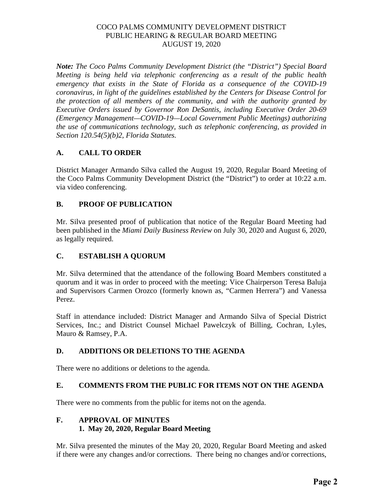*Note: The Coco Palms Community Development District (the "District") Special Board Meeting is being held via telephonic conferencing as a result of the public health emergency that exists in the State of Florida as a consequence of the COVID-19 coronavirus, in light of the guidelines established by the Centers for Disease Control for the protection of all members of the community, and with the authority granted by Executive Orders issued by Governor Ron DeSantis, including Executive Order 20-69 (Emergency Management—COVID-19—Local Government Public Meetings) authorizing the use of communications technology, such as telephonic conferencing, as provided in Section 120.54(5)(b)2, Florida Statutes.* 

#### **A. CALL TO ORDER**

District Manager Armando Silva called the August 19, 2020, Regular Board Meeting of the Coco Palms Community Development District (the "District") to order at 10:22 a.m. via video conferencing.

### **B. PROOF OF PUBLICATION**

Mr. Silva presented proof of publication that notice of the Regular Board Meeting had been published in the *Miami Daily Business Review* on July 30, 2020 and August 6, 2020, as legally required.

### **C. ESTABLISH A QUORUM**

Mr. Silva determined that the attendance of the following Board Members constituted a quorum and it was in order to proceed with the meeting: Vice Chairperson Teresa Baluja and Supervisors Carmen Orozco (formerly known as, "Carmen Herrera") and Vanessa Perez.

Staff in attendance included: District Manager and Armando Silva of Special District Services, Inc.; and District Counsel Michael Pawelczyk of Billing, Cochran, Lyles, Mauro & Ramsey, P.A.

#### **D. ADDITIONS OR DELETIONS TO THE AGENDA**

There were no additions or deletions to the agenda.

#### **E. COMMENTS FROM THE PUBLIC FOR ITEMS NOT ON THE AGENDA**

There were no comments from the public for items not on the agenda.

#### **F. APPROVAL OF MINUTES 1. May 20, 2020, Regular Board Meeting**

Mr. Silva presented the minutes of the May 20, 2020, Regular Board Meeting and asked if there were any changes and/or corrections. There being no changes and/or corrections,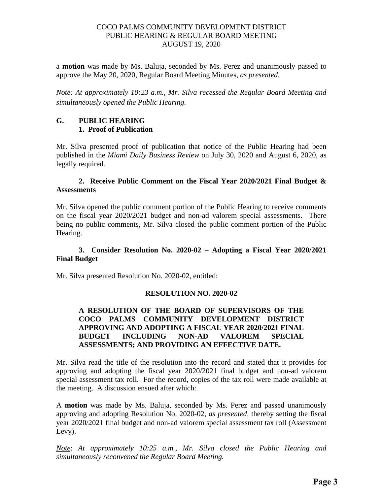a **motion** was made by Ms. Baluja, seconded by Ms. Perez and unanimously passed to approve the May 20, 2020, Regular Board Meeting Minutes, *as presented*.

*Note: At approximately 10:23 a.m., Mr. Silva recessed the Regular Board Meeting and simultaneously opened the Public Hearing.*

#### **G. PUBLIC HEARING 1. Proof of Publication**

Mr. Silva presented proof of publication that notice of the Public Hearing had been published in the *Miami Daily Business Review* on July 30, 2020 and August 6, 2020, as legally required.

#### **2. Receive Public Comment on the Fiscal Year 2020/2021 Final Budget & Assessments**

Mr. Silva opened the public comment portion of the Public Hearing to receive comments on the fiscal year 2020/2021 budget and non-ad valorem special assessments. There being no public comments, Mr. Silva closed the public comment portion of the Public Hearing.

#### **3. Consider Resolution No. 2020-02 – Adopting a Fiscal Year 2020/2021 Final Budget**

Mr. Silva presented Resolution No. 2020-02, entitled:

#### **RESOLUTION NO. 2020-02**

#### **A RESOLUTION OF THE BOARD OF SUPERVISORS OF THE COCO PALMS COMMUNITY DEVELOPMENT DISTRICT APPROVING AND ADOPTING A FISCAL YEAR 2020/2021 FINAL BUDGET INCLUDING NON-AD VALOREM SPECIAL ASSESSMENTS; AND PROVIDING AN EFFECTIVE DATE.**

Mr. Silva read the title of the resolution into the record and stated that it provides for approving and adopting the fiscal year 2020/2021 final budget and non-ad valorem special assessment tax roll. For the record, copies of the tax roll were made available at the meeting. A discussion ensued after which:

A **motion** was made by Ms. Baluja, seconded by Ms. Perez and passed unanimously approving and adopting Resolution No. 2020-02, *as presented,* thereby setting the fiscal year 2020/2021 final budget and non-ad valorem special assessment tax roll (Assessment Levy).

*Note*: *At approximately 10:25 a.m., Mr. Silva closed the Public Hearing and simultaneously reconvened the Regular Board Meeting.*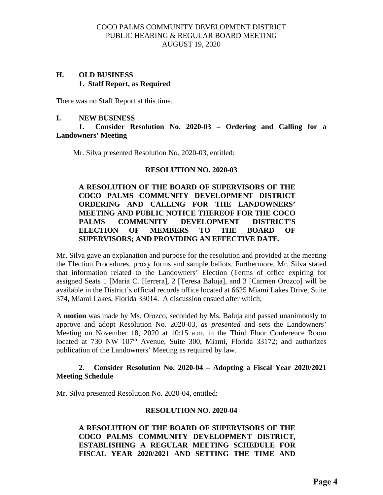#### **H. OLD BUSINESS 1. Staff Report, as Required**

There was no Staff Report at this time.

#### **I. NEW BUSINESS**

#### **1. Consider Resolution No. 2020-03 – Ordering and Calling for a Landowners' Meeting**

Mr. Silva presented Resolution No. 2020-03, entitled:

#### **RESOLUTION NO. 2020-03**

#### **A RESOLUTION OF THE BOARD OF SUPERVISORS OF THE COCO PALMS COMMUNITY DEVELOPMENT DISTRICT ORDERING AND CALLING FOR THE LANDOWNERS' MEETING AND PUBLIC NOTICE THEREOF FOR THE COCO PALMS COMMUNITY DEVELOPMENT DISTRICT'S ELECTION OF MEMBERS TO THE BOARD OF SUPERVISORS; AND PROVIDING AN EFFECTIVE DATE.**

Mr. Silva gave an explanation and purpose for the resolution and provided at the meeting the Election Procedures, proxy forms and sample ballots. Furthermore, Mr. Silva stated that information related to the Landowners' Election (Terms of office expiring for assigned Seats 1 [Maria C. Herrera], 2 [Teresa Baluja], and 3 [Carmen Orozco] will be available in the District's official records office located at 6625 Miami Lakes Drive, Suite 374, Miami Lakes, Florida 33014. A discussion ensued after which;

A **motion** was made by Ms. Orozco, seconded by Ms. Baluja and passed unanimously to approve and adopt Resolution No. 2020-03, *as presented* and sets the Landowners' Meeting on November 18, 2020 at 10:15 a.m. in the Third Floor Conference Room located at 730 NW 107<sup>th</sup> Avenue, Suite 300, Miami, Florida 33172; and authorizes publication of the Landowners' Meeting as required by law.

#### **2. Consider Resolution No. 2020-04 – Adopting a Fiscal Year 2020/2021 Meeting Schedule**

Mr. Silva presented Resolution No. 2020-04, entitled:

#### **RESOLUTION NO. 2020-04**

**A RESOLUTION OF THE BOARD OF SUPERVISORS OF THE COCO PALMS COMMUNITY DEVELOPMENT DISTRICT, ESTABLISHING A REGULAR MEETING SCHEDULE FOR FISCAL YEAR 2020/2021 AND SETTING THE TIME AND**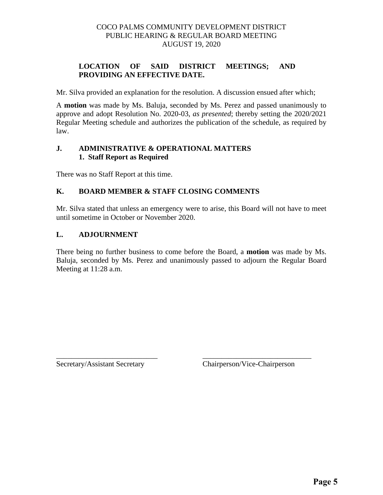#### **LOCATION OF SAID DISTRICT MEETINGS; AND PROVIDING AN EFFECTIVE DATE.**

Mr. Silva provided an explanation for the resolution. A discussion ensued after which;

A **motion** was made by Ms. Baluja, seconded by Ms. Perez and passed unanimously to approve and adopt Resolution No. 2020-03, *as presented*; thereby setting the 2020/2021 Regular Meeting schedule and authorizes the publication of the schedule, as required by law.

#### **J. ADMINISTRATIVE & OPERATIONAL MATTERS 1. Staff Report as Required**

There was no Staff Report at this time.

#### **K. BOARD MEMBER & STAFF CLOSING COMMENTS**

Mr. Silva stated that unless an emergency were to arise, this Board will not have to meet until sometime in October or November 2020.

#### **L. ADJOURNMENT**

There being no further business to come before the Board, a **motion** was made by Ms. Baluja, seconded by Ms. Perez and unanimously passed to adjourn the Regular Board Meeting at 11:28 a.m.

\_\_\_\_\_\_\_\_\_\_\_\_\_\_\_\_\_\_\_\_\_\_\_\_\_\_\_ \_\_\_\_\_\_\_\_\_\_\_\_\_\_\_\_\_\_\_\_\_\_\_\_\_\_\_\_\_

Secretary/Assistant Secretary Chairperson/Vice-Chairperson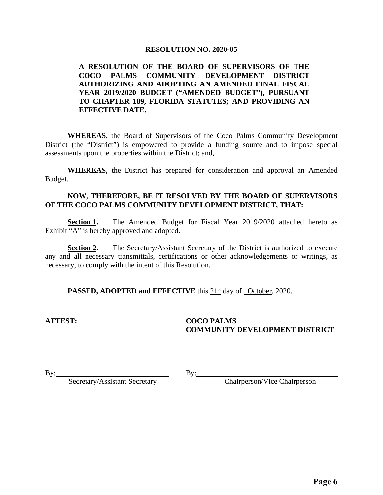#### **RESOLUTION NO. 2020-05**

#### **A RESOLUTION OF THE BOARD OF SUPERVISORS OF THE COCO PALMS COMMUNITY DEVELOPMENT DISTRICT AUTHORIZING AND ADOPTING AN AMENDED FINAL FISCAL YEAR 2019/2020 BUDGET ("AMENDED BUDGET"), PURSUANT TO CHAPTER 189, FLORIDA STATUTES; AND PROVIDING AN EFFECTIVE DATE.**

 **WHEREAS**, the Board of Supervisors of the Coco Palms Community Development District (the "District") is empowered to provide a funding source and to impose special assessments upon the properties within the District; and,

**WHEREAS**, the District has prepared for consideration and approval an Amended Budget.

#### **NOW, THEREFORE, BE IT RESOLVED BY THE BOARD OF SUPERVISORS OF THE COCO PALMS COMMUNITY DEVELOPMENT DISTRICT, THAT:**

**Section 1.** The Amended Budget for Fiscal Year 2019/2020 attached hereto as Exhibit "A" is hereby approved and adopted.

**Section 2.** The Secretary/Assistant Secretary of the District is authorized to execute any and all necessary transmittals, certifications or other acknowledgements or writings, as necessary, to comply with the intent of this Resolution.

**PASSED, ADOPTED and EFFECTIVE** this 21<sup>st</sup> day of October, 2020.

#### **ATTEST: COCO PALMS COMMUNITY DEVELOPMENT DISTRICT**

By: Chairperson/Vice Chairperson

By: Secretary/Assistant Secretary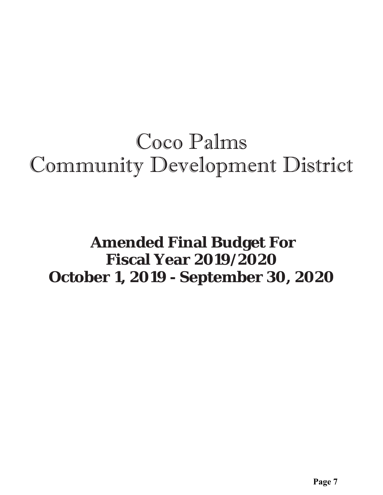# Coco Palms Community Development District

## **Amended Final Budget For Fiscal Year 2019/2020 October 1, 2019 - September 30, 2020**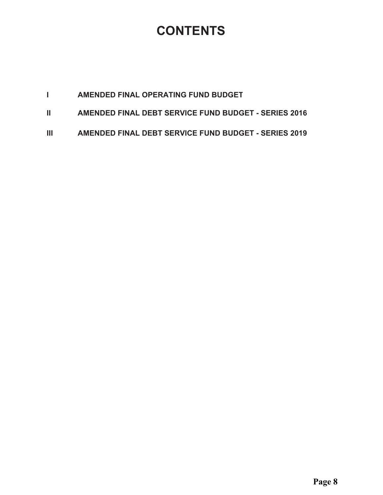## **CONTENTS**

|--|

- **II** AMENDED FINAL DEBT SERVICE FUND BUDGET SERIES 2016
- **III AMENDED FINAL DEBT SERVICE FUND BUDGET SERIES 2019**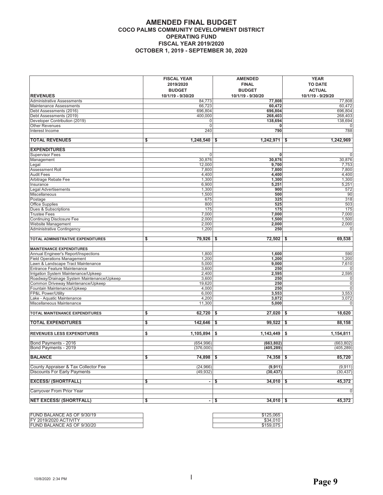#### **AMENDED FINAL BUDGET** COCO PALMS COMMUNITY DEVELOPMENT DISTRICT **OPERATING FUND FISCAL YEAR 2019/2020 OCTOBER 1, 2019 - SEPTEMBER 30, 2020**

|                                            | <b>FISCAL YEAR</b><br>2019/2020<br><b>BUDGET</b> | <b>AMENDED</b><br><b>FINAL</b><br><b>BUDGET</b> | <b>YEAR</b><br><b>TO DATE</b><br><b>ACTUAL</b> |
|--------------------------------------------|--------------------------------------------------|-------------------------------------------------|------------------------------------------------|
| <b>REVENUES</b>                            | 10/1/19 - 9/30/20                                | 10/1/19 - 9/30/20                               | 10/1/19 - 9/29/20                              |
| Administrative Assessments                 | 84,773                                           | 77,808                                          | 77,808                                         |
| Maintenance Assessments                    | 66,723                                           | 60,472                                          | 60,472                                         |
| Debt Assessments (2016)                    | 696,804                                          | 696,804                                         | 696,804                                        |
| Debt Assessments (2019)                    | 400,000                                          | 268,403                                         | 268,403                                        |
| Developer Contribution (2019)              |                                                  | 138,694<br>0<br>$\Omega$                        | 138,694                                        |
| <b>Other Revenues</b>                      |                                                  | 0                                               | 788                                            |
| Interest Income                            | 240                                              | 790                                             |                                                |
| <b>TOTAL REVENUES</b>                      | 1,248,540<br>\$                                  | 1,242,971<br>\$                                 | 1,242,969<br>\$                                |
| <b>EXPENDITURES</b>                        |                                                  |                                                 |                                                |
| Supervisor Fees                            |                                                  | $\Omega$<br>0                                   | $\overline{0}$                                 |
| Management                                 | 30,876                                           | 30,876                                          | 30,876                                         |
| Legal                                      | 12,000                                           | 9,700                                           | 7,753                                          |
| Assessment Roll                            | 7,800                                            | 7,800                                           | 7,800                                          |
| <b>Audit Fees</b>                          | 4,400                                            | 4,400                                           | 4,400                                          |
| Arbitrage Rebate Fee                       | 1,300                                            | 1,300                                           | 1,300                                          |
| Insurance                                  | 6,900                                            | 5,251                                           | 5,251                                          |
| <b>Legal Advertisements</b>                | 1,300                                            | 900                                             | 572                                            |
| Miscellaneous                              | 1,500                                            | 500                                             | 90                                             |
| Postage                                    | 675                                              | 325                                             | 318                                            |
| <b>Office Supplies</b>                     | 800                                              | 525                                             | 503                                            |
| Dues & Subscriptions                       | 175                                              | 175                                             | 175                                            |
| <b>Trustee Fees</b>                        | 7,000                                            | 7,000                                           | 7,000                                          |
| <b>Continuing Disclosure Fee</b>           | 2,000                                            | 1,500                                           | 1,500                                          |
| Website Management                         | 2,000                                            | 2,000                                           | 2,000                                          |
| Administrative Contingency                 | 1,200                                            | 250                                             | $\mathbf 0$                                    |
| TOTAL ADMINISTRATIVE EXPENDITURES          | 79,926<br>\$                                     | 72,502<br>\$                                    | 69,538<br>\$                                   |
| <b>MAINTENANCE EXPENDITURES</b>            |                                                  |                                                 |                                                |
| Annual Engineer's Report/Inspections       | 1,800                                            | 1,600                                           | 590                                            |
| <b>Field Operations Management</b>         | 1,200                                            | 1,200                                           | 1,200                                          |
| Lawn & Landscape Tract Maintenance         | 5,000                                            | 9,000                                           | 7,610                                          |
| <b>Entrance Feature Maintenance</b>        | 3,600                                            | 250                                             | $\mathbf 0$                                    |
| Irrigation System Maintenance/Upkeep       | 2,400                                            | 2,595                                           | 2,595                                          |
| Roadway/Drainage System Maintenance/Upkeep | 3,600                                            | 250                                             | $\mathbf 0$                                    |
| Common Driveway Maintenance/Upkeep         | 19,620                                           | 250                                             | $\overline{0}$                                 |
| Fountain Maintenance/Upkeep                | 4,000                                            | 250                                             | $\overline{0}$                                 |
| FP&L Power/Utility                         | 6,000                                            | 3,553                                           | 3,553                                          |
| Lake - Aquatic Maintenance                 | 4,200                                            | 3,072                                           | 3,072                                          |
| Miscellaneous Maintenance                  | 11,300                                           | 5,000                                           | $\Omega$                                       |
| TOTAL MAINTENANCE EXPENDITURES             | \$<br>62,720                                     | \$<br>27,020                                    | \$<br>18,620                                   |
| <b>TOTAL EXPENDITURES</b>                  | \$<br>142,646                                    | 99,522<br>\$                                    | $\overline{\mathbf{s}}$<br>88,158              |
| <b>REVENUES LESS EXPENDITURES</b>          | \$<br>1,105,894                                  | 1,143,449<br>\$                                 | \$<br>1,154,811                                |
| Bond Payments - 2016                       | (654, 996)                                       | (663.802)                                       | (663, 802)                                     |
| Bond Payments - 2019                       | (376,000)                                        | (405, 289)                                      | (405, 289)                                     |
|                                            |                                                  |                                                 |                                                |
| <b>BALANCE</b>                             | \$<br>$74,898$ \$                                | $74,358$ \$                                     | 85,720                                         |
|                                            |                                                  |                                                 |                                                |
| County Appraiser & Tax Collector Fee       | (24, 966)                                        | (9, 911)                                        | (9, 911)                                       |
| <b>Discounts For Early Payments</b>        | (49, 932)                                        | (30, 437)                                       | (30, 437)                                      |
| <b>EXCESS/ (SHORTFALL)</b>                 | \$                                               | \$<br>34,010<br>$\blacksquare$                  | \$<br>45,372                                   |
| Carryover From Prior Year                  |                                                  |                                                 | $\overline{0}$                                 |
|                                            |                                                  |                                                 |                                                |
| <b>NET EXCESS/ (SHORTFALL)</b>             | \$                                               | $34,010$ \$<br>- \$                             | 45,372                                         |

| FUND BALANCE AS OF 9/30/19    | \$125,065           |
|-------------------------------|---------------------|
| <b>IFY 2019/2020 ACTIVITY</b> | \$34.0 <sub>1</sub> |
| FUND BALANCE AS OF 9/30/20    | \$159.0             |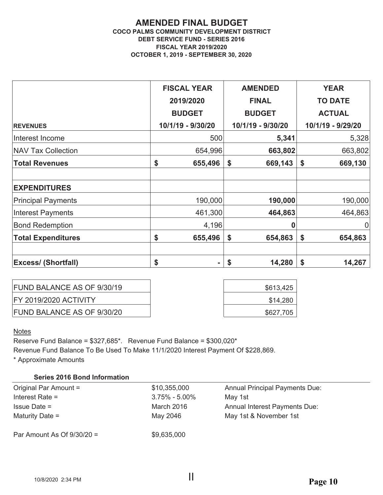#### **AMENDED FINAL BUDGET COCO PALMS COMMUNITY DEVELOPMENT DISTRICT DEBT SERVICE FUND - SERIES 2016 FISCAL YEAR 2019/2020 OCTOBER 1, 2019 - SEPTEMBER 30, 2020**

|                            | <b>FISCAL YEAR</b> |    | <b>AMENDED</b>    | <b>YEAR</b>       |
|----------------------------|--------------------|----|-------------------|-------------------|
|                            | 2019/2020          |    | <b>FINAL</b>      | <b>TO DATE</b>    |
|                            | <b>BUDGET</b>      |    | <b>BUDGET</b>     | <b>ACTUAL</b>     |
| <b>REVENUES</b>            | 10/1/19 - 9/30/20  |    | 10/1/19 - 9/30/20 | 10/1/19 - 9/29/20 |
| Interest Income            | 500                |    | 5,341             | 5,328             |
| <b>NAV Tax Collection</b>  | 654,996            |    | 663,802           | 663,802           |
| <b>Total Revenues</b>      | \$<br>655,496      | \$ | 669,143           | \$<br>669,130     |
|                            |                    |    |                   |                   |
| <b>EXPENDITURES</b>        |                    |    |                   |                   |
| <b>Principal Payments</b>  | 190,000            |    | 190,000           | 190,000           |
| Interest Payments          | 461,300            |    | 464,863           | 464,863           |
| <b>Bond Redemption</b>     | 4,196              |    | 0                 | $\overline{0}$    |
| <b>Total Expenditures</b>  | \$<br>655,496      | \$ | 654,863           | \$<br>654,863     |
|                            |                    |    |                   |                   |
| <b>Excess/ (Shortfall)</b> | \$<br>۰            | S  | 14,280            | 14,267            |

| FUND BALANCE AS OF 9/30/19   | \$613,425 |  |
|------------------------------|-----------|--|
| <b>FY 2019/2020 ACTIVITY</b> | \$14,280  |  |
| FUND BALANCE AS OF 9/30/20   | \$627,705 |  |

#### **Notes**

Reserve Fund Balance = \$327,685\*. Revenue Fund Balance = \$300,020\*

Revenue Fund Balance To Be Used To Make 11/1/2020 Interest Payment Of \$228,869.

\* Approximate Amounts

#### **Series 2016 Bond Information**

| Original Par Amount =        | \$10,355,000      | <b>Annual Principal Payments Due:</b> |
|------------------------------|-------------------|---------------------------------------|
| Interest Rate $=$            | $3.75\% - 5.00\%$ | May 1st                               |
| $l$ ssue Date =              | March 2016        | <b>Annual Interest Payments Due:</b>  |
| Maturity Date $=$            | May 2046          | May 1st & November 1st                |
| Par Amount As Of $9/30/20 =$ | \$9,635,000       |                                       |
|                              |                   |                                       |